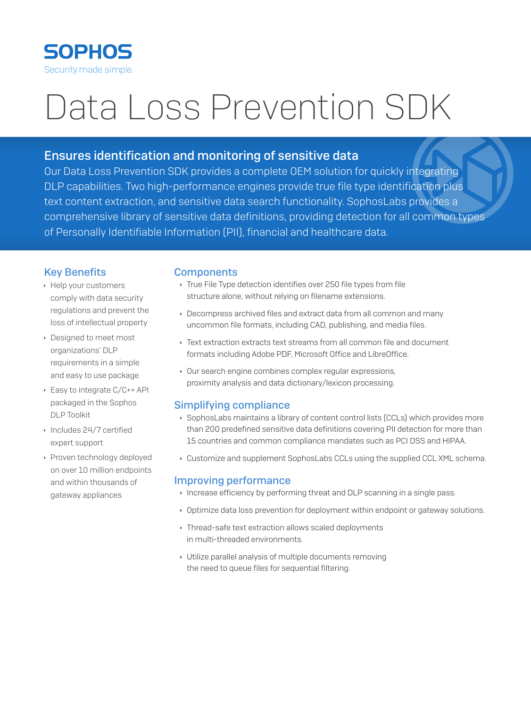

# Data Loss Prevention SDK

# **Ensures identification and monitoring of sensitive data**

Our Data Loss Prevention SDK provides a complete OEM solution for quickly integrating DLP capabilities. Two high-performance engines provide true file type identification plus text content extraction, and sensitive data search functionality. SophosLabs provides a comprehensive library of sensitive data definitions, providing detection for all common types of Personally Identifiable Information (PII), financial and healthcare data.

# **Key Benefits**

- ▶ Help your customers comply with data security regulations and prevent the loss of intellectual property
- Designed to meet most organizations' DLP requirements in a simple and easy to use package
- ▶ Easy to integrate C/C++ API packaged in the Sophos **DLP** Toolkit
- ▶ Includes 24/7 certified expert support
- ▶ Proven technology deployed on over 10 million endpoints and within thousands of gateway appliances

# **Components**

- True File Type detection identifies over 250 file types from file structure alone, without relying on filename extensions.
- Decompress archived files and extract data from all common and many uncommon file formats, including CAD, publishing, and media files.
- ▸ Text extraction extracts text streams from all common file and document formats including Adobe PDF, Microsoft Office and LibreOffice.
- Our search engine combines complex regular expressions, proximity analysis and data dictionary/lexicon processing.

# **Simplifying compliance**

- SophosLabs maintains a library of content control lists (CCLs) which provides more than 200 predefined sensitive data definitions covering PII detection for more than 15 countries and common compliance mandates such as PCI DSS and HIPAA.
- Customize and supplement SophosLabs CCLs using the supplied CCL XML schema.

# **Improving performance**

- Increase efficiency by performing threat and DLP scanning in a single pass.
- Optimize data loss prevention for deployment within endpoint or gateway solutions.
- ▶ Thread-safe text extraction allows scaled deployments in multi-threaded environments.
- Utilize parallel analysis of multiple documents removing the need to queue files for sequential filtering.